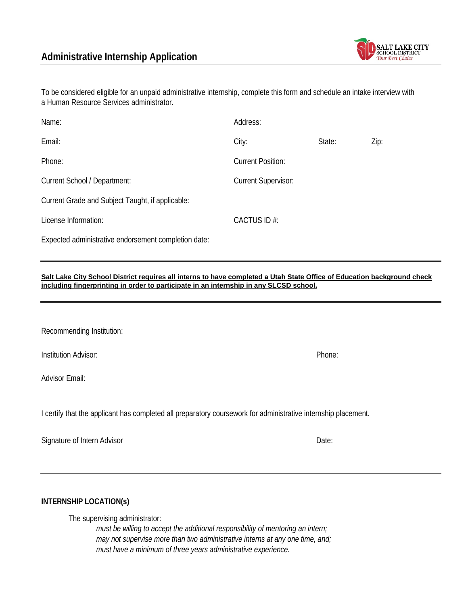

To be considered eligible for an unpaid administrative internship, complete this form and schedule an intake interview with a Human Resource Services administrator.

| Name:                                                | Address:                   |        |      |
|------------------------------------------------------|----------------------------|--------|------|
| Email:                                               | City:                      | State: | Zip: |
| Phone:                                               | <b>Current Position:</b>   |        |      |
| Current School / Department:                         | <b>Current Supervisor:</b> |        |      |
| Current Grade and Subject Taught, if applicable:     |                            |        |      |
| License Information:                                 | CACTUS ID#:                |        |      |
| Expected administrative endorsement completion date: |                            |        |      |

**Salt Lake City School District requires all interns to have completed a Utah State Office of Education background check including fingerprinting in order to participate in an internship in any SLCSD school.** 

Recommending Institution:

Institution Advisor: Phone:

Advisor Email:

I certify that the applicant has completed all preparatory coursework for administrative internship placement.

Signature of Intern Advisor **Date:** Date:

**INTERNSHIP LOCATION(s)**

The supervising administrator:

*must be willing to accept the additional responsibility of mentoring an intern; may not supervise more than two administrative interns at any one time, and; must have a minimum of three years administrative experience.*